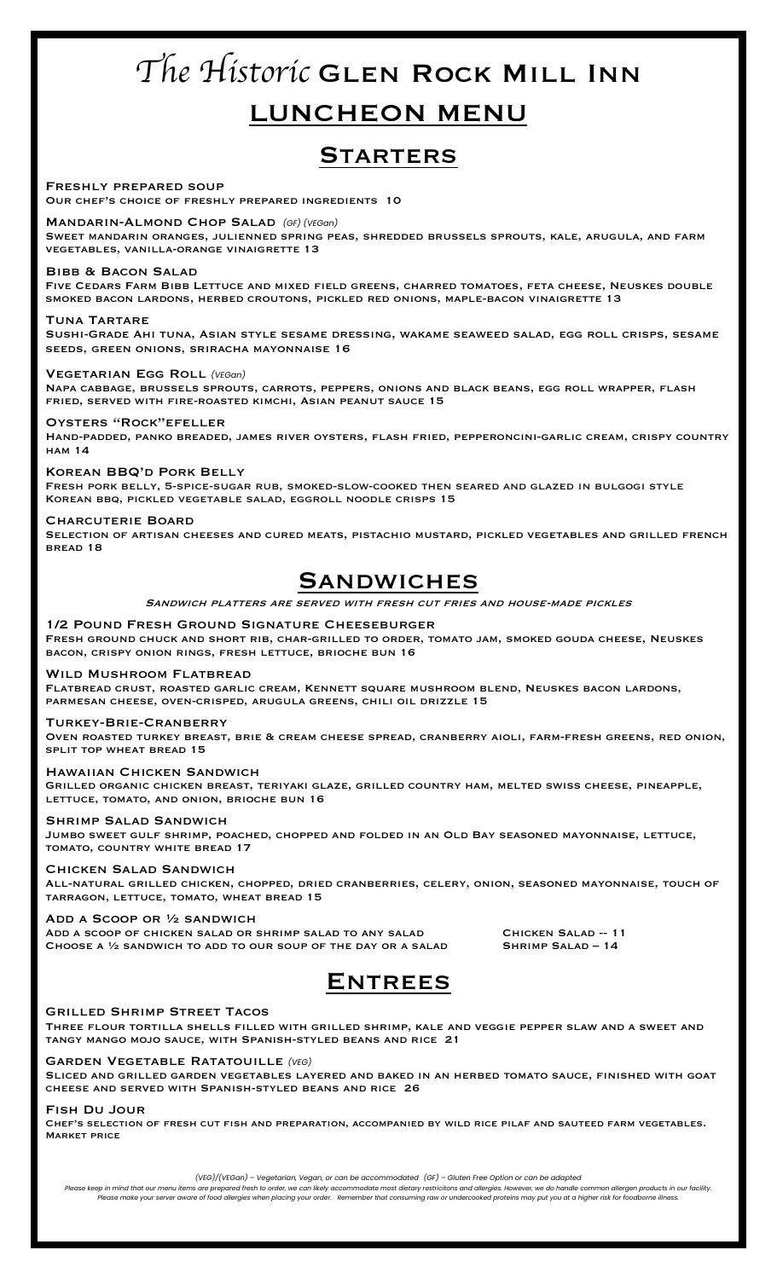# *The Historic* Glen Rock Mill Inn LUNCHEON MENU

### **STARTERS**

Freshly prepared soup

Our chef's choice of freshly prepared ingredients 10

Mandarin-Almond Chop Salad *(GF) (VEGan)* Sweet mandarin oranges, julienned spring peas, shredded brussels sprouts, kale, arugula, and farm vegetables, vanilla-orange vinaigrette 13

#### **BIBB & BACON SALAD**

Five Cedars Farm Bibb Lettuce and mixed field greens, charred tomatoes, feta cheese, Neuskes double smoked bacon lardons, herbed croutons, pickled red onions, maple-bacon vinaigrette 13

#### Tuna Tartare

Sushi-Grade Ahi tuna, Asian style sesame dressing, wakame seaweed salad, egg roll crisps, sesame seeds, green onions, sriracha mayonnaise 16

#### Vegetarian Egg Roll *(VEGan)*

Napa cabbage, brussels sprouts, carrots, peppers, onions and black beans, egg roll wrapper, flash fried, served with fire-roasted kimchi, Asian peanut sauce 15

### Oysters "Rock"efeller

Hand-padded, panko breaded, james river oysters, flash fried, pepperoncini-garlic cream, crispy country ham 14

#### Korean BBQ'd Pork Belly

Fresh pork belly, 5-spice-sugar rub, smoked-slow-cooked then seared and glazed in bulgogi style Korean bbq, pickled vegetable salad, eggroll noodle crisps 15

#### Charcuterie Board

SELECTION OF ARTISAN CHEESES AND CURED MEATS, PISTACHIO MUSTARD, PICKLED VEGETABLES AND GRILLED FRENCH bread 18

### **SANDWICHES**

Sandwich platters are served with fresh cut fries and house-made pickles

#### 1/2 Pound Fresh Ground Signature Cheeseburger Fresh ground chuck and short rib, char-grilled to order, tomato jam, smoked gouda cheese, Neuskes bacon, crispy onion rings, fresh lettuce, brioche bun 16

#### **ILD MUSHROOM FLATBREAD**

Flatbread crust, roasted garlic cream, Kennett square mushroom blend, Neuskes bacon lardons, parmesan cheese, oven-crisped, arugula greens, chili oil drizzle 15

#### Turkey-Brie-Cranberry

Oven roasted turkey breast, brie & cream cheese spread, cranberry aioli, farm-fresh greens, red onion, split top wheat bread 15

#### Hawaiian Chicken Sandwich

Grilled organic chicken breast, teriyaki glaze, grilled country ham, melted swiss cheese, pineapple, lettuce, tomato, and onion, brioche bun 16

#### Shrimp Salad Sandwich

Jumbo sweet gulf shrimp, poached, chopped and folded in an Old Bay seasoned mayonnaise, lettuce, tomato, country white bread 17

#### Chicken Salad Sandwich

All-natural grilled chicken, chopped, dried cranberries, celery, onion, seasoned mayonnaise, touch of tarragon, lettuce, tomato, wheat bread 15

#### Add a Scoop or ½ sandwich

ADD A SCOOP OF CHICKEN SALAD OR SHRIMP SALAD TO ANY SALAD **CHICKEN SALAD -- 11**<br>CHOOSE A ½ SANDWICH TO ADD TO OUR SOUP OF THE DAY OR A SALAD **SHRIMP SALAD -- 14** CHOOSE A  $\frac{1}{2}$  SANDWICH TO ADD TO OUR SOUP OF THE DAY OR A SALAD

### **ENTREES**

#### Grilled Shrimp Street Tacos

Three flour tortilla shells filled with grilled shrimp, kale and veggie pepper slaw and a sweet and tangy mango mojo sauce, with Spanish-styled beans and rice 21

#### Garden Vegetable Ratatouille *(VEG)*

Sliced and grilled garden vegetables layered and baked in an herbed tomato sauce, finished with goat cheese and served with Spanish-styled beans and rice 26

#### Fish Du Jour

Chef's selection of fresh cut fish and preparation, accompanied by wild rice pilaf and sauteed farm vegetables. Market price

*(VEG)/(VEGan) – Vegetarian, Vegan, or can be accommodated (GF) – Gluten Free Option or can be adapted*

Please keep in mind that our menu items are prepared fresh to order, we can likely accommodate most dietary restricitons and allergies. However, we do handle common allergen products in our facility.<br>Please make your serve